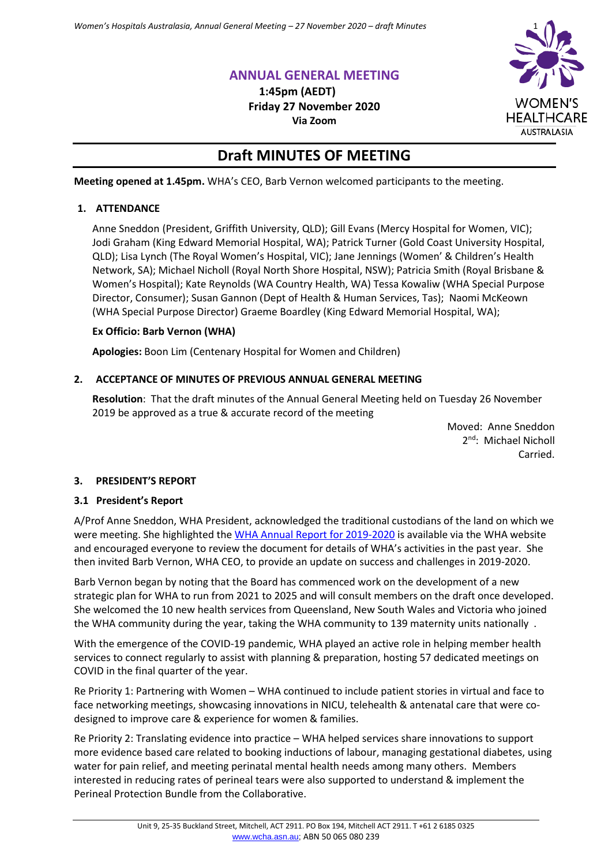# **ANNUAL GENERAL MEETING**

**1:45pm (AEDT) Friday 27 November 2020 Via Zoom**



# **Draft MINUTES OF MEETING**

**Meeting opened at 1.45pm.** WHA's CEO, Barb Vernon welcomed participants to the meeting.

# **1. ATTENDANCE**

Anne Sneddon (President, Griffith University, QLD); Gill Evans (Mercy Hospital for Women, VIC); Jodi Graham (King Edward Memorial Hospital, WA); Patrick Turner (Gold Coast University Hospital, QLD); Lisa Lynch (The Royal Women's Hospital, VIC); Jane Jennings (Women' & Children's Health Network, SA); Michael Nicholl (Royal North Shore Hospital, NSW); Patricia Smith (Royal Brisbane & Women's Hospital); Kate Reynolds (WA Country Health, WA) Tessa Kowaliw (WHA Special Purpose Director, Consumer); Susan Gannon (Dept of Health & Human Services, Tas); Naomi McKeown (WHA Special Purpose Director) Graeme Boardley (King Edward Memorial Hospital, WA);

# **Ex Officio: Barb Vernon (WHA)**

**Apologies:** Boon Lim (Centenary Hospital for Women and Children)

# **2. ACCEPTANCE OF MINUTES OF PREVIOUS ANNUAL GENERAL MEETING**

**Resolution**: That the draft minutes of the Annual General Meeting held on Tuesday 26 November 2019 be approved as a true & accurate record of the meeting

> Moved: Anne Sneddon 2<sup>nd</sup>: Michael Nicholl Carried.

# **3. PRESIDENT'S REPORT**

# **3.1 President's Report**

A/Prof Anne Sneddon, WHA President, acknowledged the traditional custodians of the land on which we were meeting. She highlighted the [WHA Annual Report](https://women.wcha.asn.au/sites/default/files/wha_annual_report_19-20_final_lq.pdf) for 2019-2020 is available via the WHA website and encouraged everyone to review the document for details of WHA's activities in the past year. She then invited Barb Vernon, WHA CEO, to provide an update on success and challenges in 2019-2020.

Barb Vernon began by noting that the Board has commenced work on the development of a new strategic plan for WHA to run from 2021 to 2025 and will consult members on the draft once developed. She welcomed the 10 new health services from Queensland, New South Wales and Victoria who joined the WHA community during the year, taking the WHA community to 139 maternity units nationally .

With the emergence of the COVID-19 pandemic, WHA played an active role in helping member health services to connect regularly to assist with planning & preparation, hosting 57 dedicated meetings on COVID in the final quarter of the year.

Re Priority 1: Partnering with Women – WHA continued to include patient stories in virtual and face to face networking meetings, showcasing innovations in NICU, telehealth & antenatal care that were codesigned to improve care & experience for women & families.

Re Priority 2: Translating evidence into practice – WHA helped services share innovations to support more evidence based care related to booking inductions of labour, managing gestational diabetes, using water for pain relief, and meeting perinatal mental health needs among many others. Members interested in reducing rates of perineal tears were also supported to understand & implement the Perineal Protection Bundle from the Collaborative.